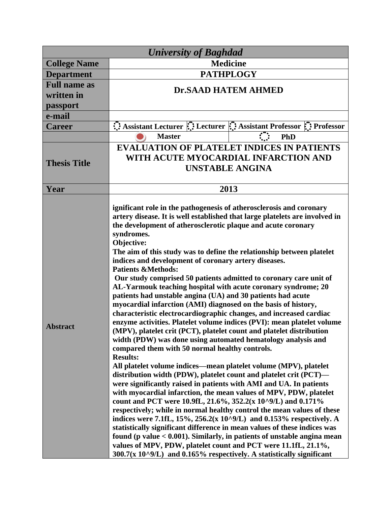| <b>University of Baghdad</b>      |                                                                                                                                                                                                                                                                                                                                                                                                                                                                                                                                                                                                                                                                                                                                                                                                                                                                                                                                                                                                                                                                                                                                                                                                                                                                                                                                                                                                                                                                                                                                                                                                                                                                                                                                                                                                                                                                              |
|-----------------------------------|------------------------------------------------------------------------------------------------------------------------------------------------------------------------------------------------------------------------------------------------------------------------------------------------------------------------------------------------------------------------------------------------------------------------------------------------------------------------------------------------------------------------------------------------------------------------------------------------------------------------------------------------------------------------------------------------------------------------------------------------------------------------------------------------------------------------------------------------------------------------------------------------------------------------------------------------------------------------------------------------------------------------------------------------------------------------------------------------------------------------------------------------------------------------------------------------------------------------------------------------------------------------------------------------------------------------------------------------------------------------------------------------------------------------------------------------------------------------------------------------------------------------------------------------------------------------------------------------------------------------------------------------------------------------------------------------------------------------------------------------------------------------------------------------------------------------------------------------------------------------------|
| <b>College Name</b>               | <b>Medicine</b>                                                                                                                                                                                                                                                                                                                                                                                                                                                                                                                                                                                                                                                                                                                                                                                                                                                                                                                                                                                                                                                                                                                                                                                                                                                                                                                                                                                                                                                                                                                                                                                                                                                                                                                                                                                                                                                              |
| <b>Department</b>                 | <b>PATHPLOGY</b>                                                                                                                                                                                                                                                                                                                                                                                                                                                                                                                                                                                                                                                                                                                                                                                                                                                                                                                                                                                                                                                                                                                                                                                                                                                                                                                                                                                                                                                                                                                                                                                                                                                                                                                                                                                                                                                             |
| <b>Full name as</b><br>written in | <b>Dr.SAAD HATEM AHMED</b>                                                                                                                                                                                                                                                                                                                                                                                                                                                                                                                                                                                                                                                                                                                                                                                                                                                                                                                                                                                                                                                                                                                                                                                                                                                                                                                                                                                                                                                                                                                                                                                                                                                                                                                                                                                                                                                   |
| passport                          |                                                                                                                                                                                                                                                                                                                                                                                                                                                                                                                                                                                                                                                                                                                                                                                                                                                                                                                                                                                                                                                                                                                                                                                                                                                                                                                                                                                                                                                                                                                                                                                                                                                                                                                                                                                                                                                                              |
| e-mail                            |                                                                                                                                                                                                                                                                                                                                                                                                                                                                                                                                                                                                                                                                                                                                                                                                                                                                                                                                                                                                                                                                                                                                                                                                                                                                                                                                                                                                                                                                                                                                                                                                                                                                                                                                                                                                                                                                              |
| <b>Career</b>                     | Assistant Lecturer :: Lecturer :: Assistant Professor :: Professor                                                                                                                                                                                                                                                                                                                                                                                                                                                                                                                                                                                                                                                                                                                                                                                                                                                                                                                                                                                                                                                                                                                                                                                                                                                                                                                                                                                                                                                                                                                                                                                                                                                                                                                                                                                                           |
|                                   | <b>Master</b><br><b>PhD</b>                                                                                                                                                                                                                                                                                                                                                                                                                                                                                                                                                                                                                                                                                                                                                                                                                                                                                                                                                                                                                                                                                                                                                                                                                                                                                                                                                                                                                                                                                                                                                                                                                                                                                                                                                                                                                                                  |
| <b>Thesis Title</b>               | <b>EVALUATION OF PLATELET INDICES IN PATIENTS</b><br>WITH ACUTE MYOCARDIAL INFARCTION AND<br><b>UNSTABLE ANGINA</b>                                                                                                                                                                                                                                                                                                                                                                                                                                                                                                                                                                                                                                                                                                                                                                                                                                                                                                                                                                                                                                                                                                                                                                                                                                                                                                                                                                                                                                                                                                                                                                                                                                                                                                                                                          |
| Year                              | 2013                                                                                                                                                                                                                                                                                                                                                                                                                                                                                                                                                                                                                                                                                                                                                                                                                                                                                                                                                                                                                                                                                                                                                                                                                                                                                                                                                                                                                                                                                                                                                                                                                                                                                                                                                                                                                                                                         |
| <b>Abstract</b>                   | ignificant role in the pathogenesis of atherosclerosis and coronary<br>artery disease. It is well established that large platelets are involved in<br>the development of atherosclerotic plaque and acute coronary<br>syndromes.<br>Objective:<br>The aim of this study was to define the relationship between platelet<br>indices and development of coronary artery diseases.<br><b>Patients &amp;Methods:</b><br>Our study comprised 50 patients admitted to coronary care unit of<br>AL-Yarmouk teaching hospital with acute coronary syndrome; 20<br>patients had unstable angina (UA) and 30 patients had acute<br>myocardial infarction (AMI) diagnosed on the basis of history,<br>characteristic electrocardiographic changes, and increased cardiac<br>enzyme activities. Platelet volume indices (PVI): mean platelet volume<br>(MPV), platelet crit (PCT), platelet count and platelet distribution<br>width (PDW) was done using automated hematology analysis and<br>compared them with 50 normal healthy controls.<br><b>Results:</b><br>All platelet volume indices—mean platelet volume (MPV), platelet<br>distribution width (PDW), platelet count and platelet crit (PCT)-<br>were significantly raised in patients with AMI and UA. In patients<br>with myocardial infarction, the mean values of MPV, PDW, platelet<br>count and PCT were 10.9fL, 21.6%, 352.2(x 10^9/L) and 0.171%<br>respectively; while in normal healthy control the mean values of these<br>indices were 7.1fL, $15\%, 256.2(x 10\degree 9/L)$ and 0.153% respectively. A<br>statistically significant difference in mean values of these indices was<br>found ( $p$ value $< 0.001$ ). Similarly, in patients of unstable angina mean<br>values of MPV, PDW, platelet count and PCT were 11.1fL, 21.1%,<br>$300.7(x 10^9/L)$ and 0.165% respectively. A statistically significant |